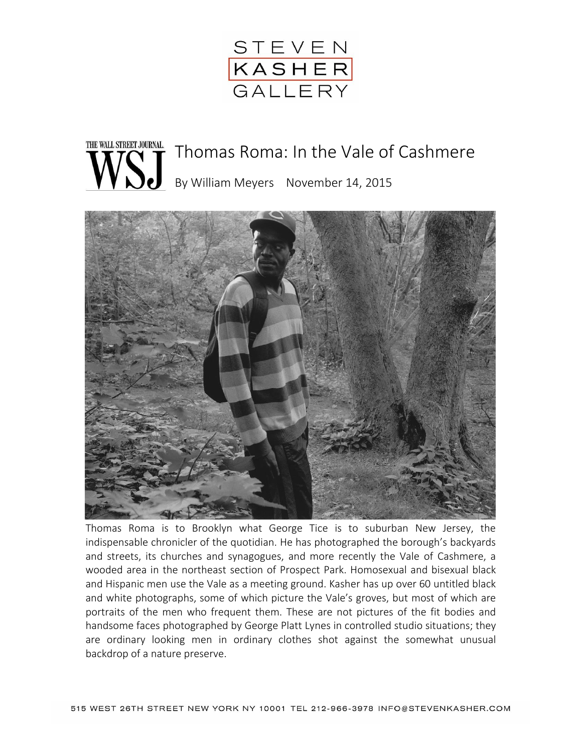

## THE WALL STREET JOURNAL. Thomas Roma: In the Vale of Cashmere By William Meyers November 14, 2015



Thomas Roma is to Brooklyn what George Tice is to suburban New Jersey, the indispensable chronicler of the quotidian. He has photographed the borough's backyards and streets, its churches and synagogues, and more recently the Vale of Cashmere, a wooded area in the northeast section of Prospect Park. Homosexual and bisexual black and Hispanic men use the Vale as a meeting ground. Kasher has up over 60 untitled black and white photographs, some of which picture the Vale's groves, but most of which are portraits of the men who frequent them. These are not pictures of the fit bodies and handsome faces photographed by George Platt Lynes in controlled studio situations; they are ordinary looking men in ordinary clothes shot against the somewhat unusual backdrop of a nature preserve.